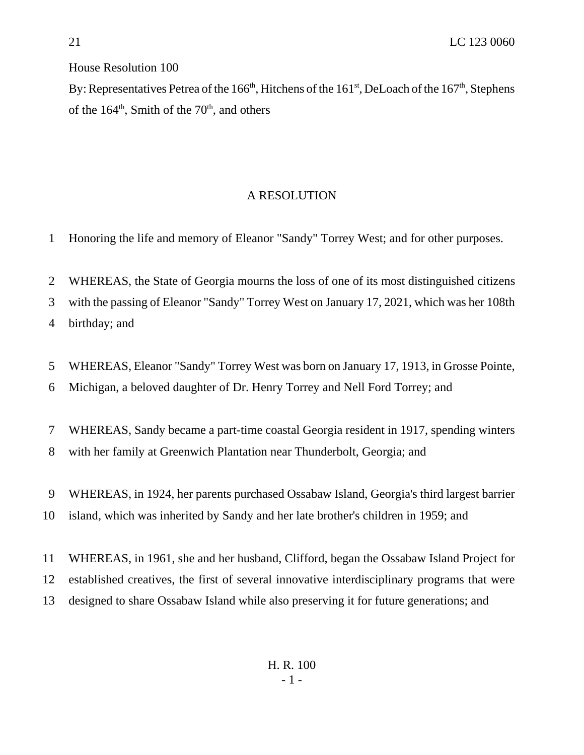House Resolution 100

By: Representatives Petrea of the  $166<sup>th</sup>$ , Hitchens of the  $161<sup>st</sup>$ , DeLoach of the  $167<sup>th</sup>$ , Stephens of the  $164^{\text{th}}$ , Smith of the  $70^{\text{th}}$ , and others

## A RESOLUTION

Honoring the life and memory of Eleanor "Sandy" Torrey West; and for other purposes.

 WHEREAS, the State of Georgia mourns the loss of one of its most distinguished citizens with the passing of Eleanor "Sandy" Torrey West on January 17, 2021, which was her 108th

birthday; and

 WHEREAS, Eleanor "Sandy" Torrey West was born on January 17, 1913, in Grosse Pointe, Michigan, a beloved daughter of Dr. Henry Torrey and Nell Ford Torrey; and

 WHEREAS, Sandy became a part-time coastal Georgia resident in 1917, spending winters with her family at Greenwich Plantation near Thunderbolt, Georgia; and

 WHEREAS, in 1924, her parents purchased Ossabaw Island, Georgia's third largest barrier island, which was inherited by Sandy and her late brother's children in 1959; and

 WHEREAS, in 1961, she and her husband, Clifford, began the Ossabaw Island Project for established creatives, the first of several innovative interdisciplinary programs that were designed to share Ossabaw Island while also preserving it for future generations; and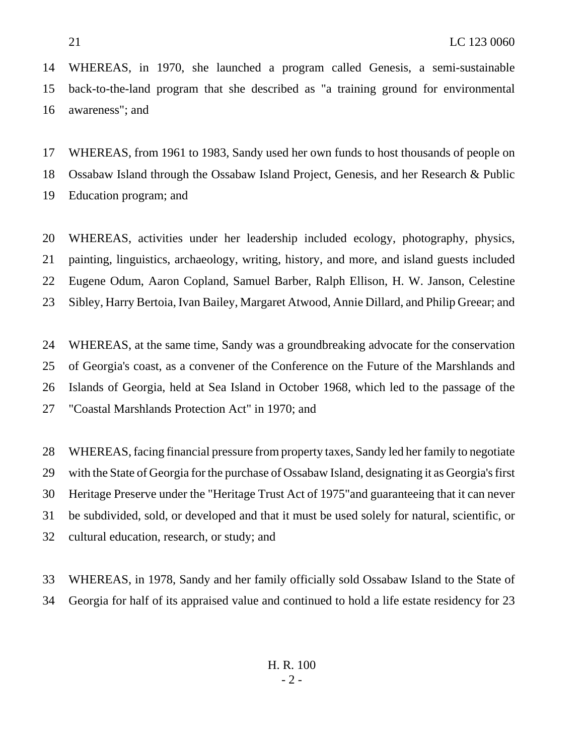WHEREAS, in 1970, she launched a program called Genesis, a semi-sustainable back-to-the-land program that she described as "a training ground for environmental awareness"; and

 WHEREAS, from 1961 to 1983, Sandy used her own funds to host thousands of people on Ossabaw Island through the Ossabaw Island Project, Genesis, and her Research & Public Education program; and

 WHEREAS, activities under her leadership included ecology, photography, physics, painting, linguistics, archaeology, writing, history, and more, and island guests included Eugene Odum, Aaron Copland, Samuel Barber, Ralph Ellison, H. W. Janson, Celestine Sibley, Harry Bertoia, Ivan Bailey, Margaret Atwood, Annie Dillard, and Philip Greear; and

 WHEREAS, at the same time, Sandy was a groundbreaking advocate for the conservation of Georgia's coast, as a convener of the Conference on the Future of the Marshlands and Islands of Georgia, held at Sea Island in October 1968, which led to the passage of the "Coastal Marshlands Protection Act" in 1970; and

 WHEREAS, facing financial pressure from property taxes, Sandy led her family to negotiate with the State of Georgia for the purchase of Ossabaw Island, designating it as Georgia's first Heritage Preserve under the "Heritage Trust Act of 1975"and guaranteeing that it can never be subdivided, sold, or developed and that it must be used solely for natural, scientific, or cultural education, research, or study; and

 WHEREAS, in 1978, Sandy and her family officially sold Ossabaw Island to the State of Georgia for half of its appraised value and continued to hold a life estate residency for 23